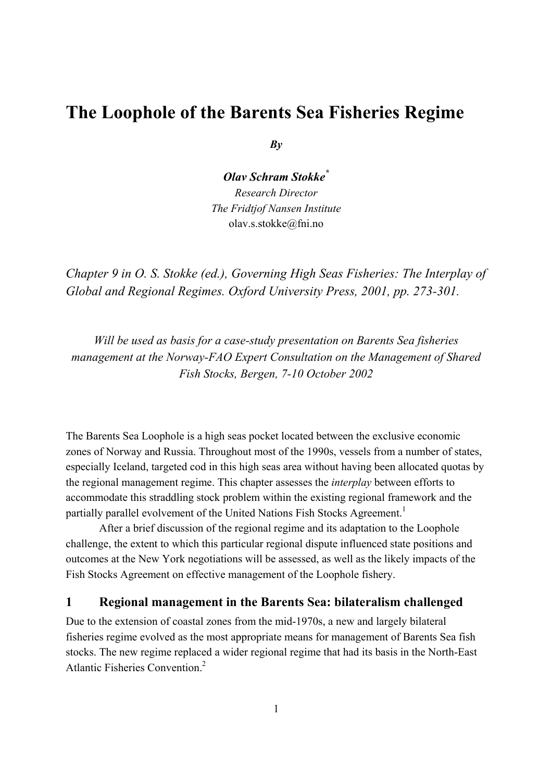# **The Loophole of the Barents Sea Fisheries Regime**

*By*

*Olav Schram Stokke\* Research Director The Fridtjof Nansen Institute* olav.s.stokke@fni.no

*Chapter 9 in O. S. Stokke (ed.), Governing High Seas Fisheries: The Interplay of Global and Regional Regimes. Oxford University Press, 2001, pp. 273-301.*

*Will be used as basis for a case-study presentation on Barents Sea fisheries management at the Norway-FAO Expert Consultation on the Management of Shared Fish Stocks, Bergen, 7-10 October 2002*

The Barents Sea Loophole is a high seas pocket located between the exclusive economic zones of Norway and Russia. Throughout most of the 1990s, vessels from a number of states, especially Iceland, targeted cod in this high seas area without having been allocated quotas by the regional management regime. This chapter assesses the *interplay* between efforts to accommodate this straddling stock problem within the existing regional framework and the partially parallel evolvement of the United Nations Fish Stocks Agreement.<sup>1</sup>

After a brief discussion of the regional regime and its adaptation to the Loophole challenge, the extent to which this particular regional dispute influenced state positions and outcomes at the New York negotiations will be assessed, as well as the likely impacts of the Fish Stocks Agreement on effective management of the Loophole fishery.

#### **1 Regional management in the Barents Sea: bilateralism challenged**

Due to the extension of coastal zones from the mid-1970s, a new and largely bilateral fisheries regime evolved as the most appropriate means for management of Barents Sea fish stocks. The new regime replaced a wider regional regime that had its basis in the North-East Atlantic Fisheries Convention.2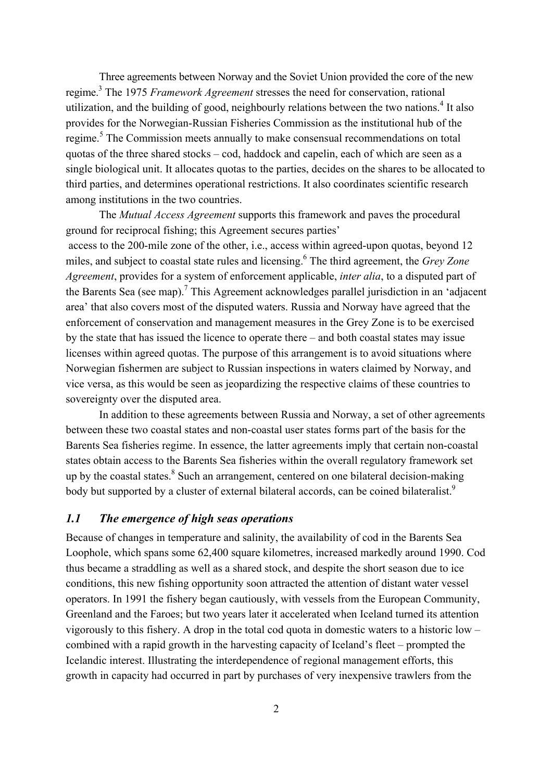Three agreements between Norway and the Soviet Union provided the core of the new regime.3 The 1975 *Framework Agreement* stresses the need for conservation, rational utilization, and the building of good, neighbourly relations between the two nations.<sup>4</sup> It also provides for the Norwegian-Russian Fisheries Commission as the institutional hub of the regime.<sup>5</sup> The Commission meets annually to make consensual recommendations on total quotas of the three shared stocks – cod, haddock and capelin, each of which are seen as a single biological unit. It allocates quotas to the parties, decides on the shares to be allocated to third parties, and determines operational restrictions. It also coordinates scientific research among institutions in the two countries.

The *Mutual Access Agreement* supports this framework and paves the procedural ground for reciprocal fishing; this Agreement secures parties'

 access to the 200-mile zone of the other, i.e., access within agreed-upon quotas, beyond 12 miles, and subject to coastal state rules and licensing.6 The third agreement, the *Grey Zone Agreement*, provides for a system of enforcement applicable, *inter alia*, to a disputed part of the Barents Sea (see map).<sup>7</sup> This Agreement acknowledges parallel jurisdiction in an 'adjacent area' that also covers most of the disputed waters. Russia and Norway have agreed that the enforcement of conservation and management measures in the Grey Zone is to be exercised by the state that has issued the licence to operate there – and both coastal states may issue licenses within agreed quotas. The purpose of this arrangement is to avoid situations where Norwegian fishermen are subject to Russian inspections in waters claimed by Norway, and vice versa, as this would be seen as jeopardizing the respective claims of these countries to sovereignty over the disputed area.

In addition to these agreements between Russia and Norway, a set of other agreements between these two coastal states and non-coastal user states forms part of the basis for the Barents Sea fisheries regime. In essence, the latter agreements imply that certain non-coastal states obtain access to the Barents Sea fisheries within the overall regulatory framework set up by the coastal states.<sup>8</sup> Such an arrangement, centered on one bilateral decision-making body but supported by a cluster of external bilateral accords, can be coined bilateralist.<sup>9</sup>

## *1.1 The emergence of high seas operations*

Because of changes in temperature and salinity, the availability of cod in the Barents Sea Loophole, which spans some 62,400 square kilometres, increased markedly around 1990. Cod thus became a straddling as well as a shared stock, and despite the short season due to ice conditions, this new fishing opportunity soon attracted the attention of distant water vessel operators. In 1991 the fishery began cautiously, with vessels from the European Community, Greenland and the Faroes; but two years later it accelerated when Iceland turned its attention vigorously to this fishery. A drop in the total cod quota in domestic waters to a historic low – combined with a rapid growth in the harvesting capacity of Iceland's fleet – prompted the Icelandic interest. Illustrating the interdependence of regional management efforts, this growth in capacity had occurred in part by purchases of very inexpensive trawlers from the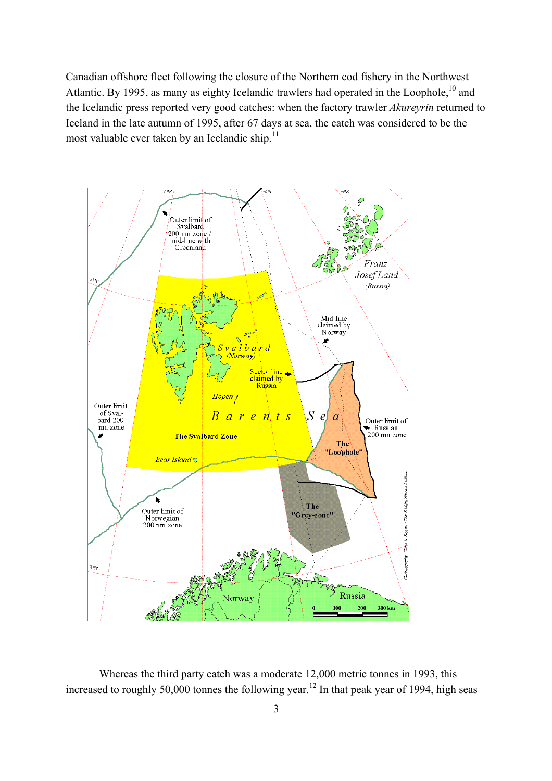Canadian offshore fleet following the closure of the Northern cod fishery in the Northwest Atlantic. By 1995, as many as eighty Icelandic trawlers had operated in the Loophole,<sup>10</sup> and the Icelandic press reported very good catches: when the factory trawler *Akureyrin* returned to Iceland in the late autumn of 1995, after 67 days at sea, the catch was considered to be the most valuable ever taken by an Icelandic ship. $^{11}$ 



Whereas the third party catch was a moderate 12,000 metric tonnes in 1993, this increased to roughly 50,000 tonnes the following year.<sup>12</sup> In that peak year of 1994, high seas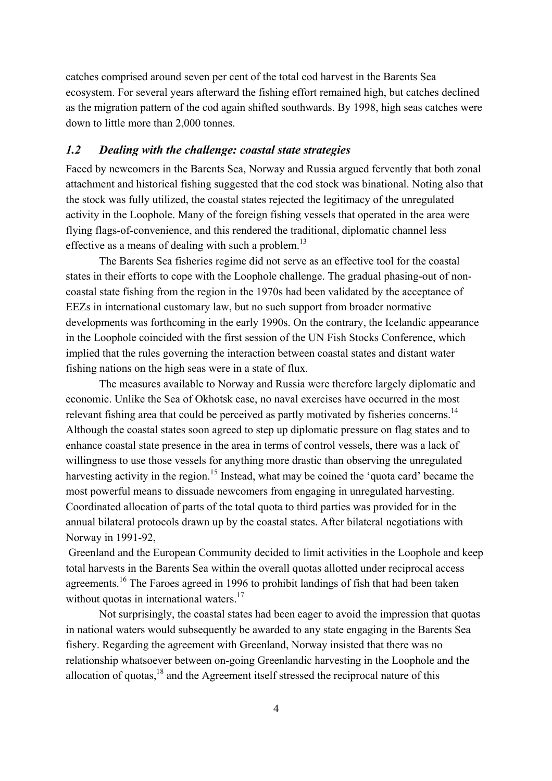catches comprised around seven per cent of the total cod harvest in the Barents Sea ecosystem. For several years afterward the fishing effort remained high, but catches declined as the migration pattern of the cod again shifted southwards. By 1998, high seas catches were down to little more than 2,000 tonnes.

#### *1.2 Dealing with the challenge: coastal state strategies*

Faced by newcomers in the Barents Sea, Norway and Russia argued fervently that both zonal attachment and historical fishing suggested that the cod stock was binational. Noting also that the stock was fully utilized, the coastal states rejected the legitimacy of the unregulated activity in the Loophole. Many of the foreign fishing vessels that operated in the area were flying flags-of-convenience, and this rendered the traditional, diplomatic channel less effective as a means of dealing with such a problem.<sup>13</sup>

The Barents Sea fisheries regime did not serve as an effective tool for the coastal states in their efforts to cope with the Loophole challenge. The gradual phasing-out of noncoastal state fishing from the region in the 1970s had been validated by the acceptance of EEZs in international customary law, but no such support from broader normative developments was forthcoming in the early 1990s. On the contrary, the Icelandic appearance in the Loophole coincided with the first session of the UN Fish Stocks Conference, which implied that the rules governing the interaction between coastal states and distant water fishing nations on the high seas were in a state of flux.

The measures available to Norway and Russia were therefore largely diplomatic and economic. Unlike the Sea of Okhotsk case, no naval exercises have occurred in the most relevant fishing area that could be perceived as partly motivated by fisheries concerns.<sup>14</sup> Although the coastal states soon agreed to step up diplomatic pressure on flag states and to enhance coastal state presence in the area in terms of control vessels, there was a lack of willingness to use those vessels for anything more drastic than observing the unregulated harvesting activity in the region.<sup>15</sup> Instead, what may be coined the 'quota card' became the most powerful means to dissuade newcomers from engaging in unregulated harvesting. Coordinated allocation of parts of the total quota to third parties was provided for in the annual bilateral protocols drawn up by the coastal states. After bilateral negotiations with Norway in 1991-92,

 Greenland and the European Community decided to limit activities in the Loophole and keep total harvests in the Barents Sea within the overall quotas allotted under reciprocal access agreements.<sup>16</sup> The Faroes agreed in 1996 to prohibit landings of fish that had been taken without quotas in international waters.<sup>17</sup>

Not surprisingly, the coastal states had been eager to avoid the impression that quotas in national waters would subsequently be awarded to any state engaging in the Barents Sea fishery. Regarding the agreement with Greenland, Norway insisted that there was no relationship whatsoever between on-going Greenlandic harvesting in the Loophole and the allocation of quotas, $18$  and the Agreement itself stressed the reciprocal nature of this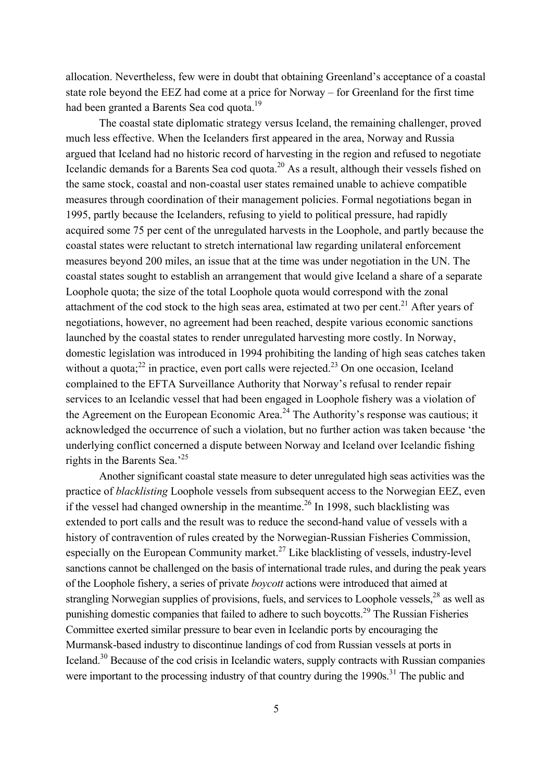allocation. Nevertheless, few were in doubt that obtaining Greenland's acceptance of a coastal state role beyond the EEZ had come at a price for Norway – for Greenland for the first time had been granted a Barents Sea cod quota.<sup>19</sup>

The coastal state diplomatic strategy versus Iceland, the remaining challenger, proved much less effective. When the Icelanders first appeared in the area, Norway and Russia argued that Iceland had no historic record of harvesting in the region and refused to negotiate Icelandic demands for a Barents Sea cod quota.<sup>20</sup> As a result, although their vessels fished on the same stock, coastal and non-coastal user states remained unable to achieve compatible measures through coordination of their management policies. Formal negotiations began in 1995, partly because the Icelanders, refusing to yield to political pressure, had rapidly acquired some 75 per cent of the unregulated harvests in the Loophole, and partly because the coastal states were reluctant to stretch international law regarding unilateral enforcement measures beyond 200 miles, an issue that at the time was under negotiation in the UN. The coastal states sought to establish an arrangement that would give Iceland a share of a separate Loophole quota; the size of the total Loophole quota would correspond with the zonal attachment of the cod stock to the high seas area, estimated at two per cent.<sup>21</sup> After years of negotiations, however, no agreement had been reached, despite various economic sanctions launched by the coastal states to render unregulated harvesting more costly. In Norway, domestic legislation was introduced in 1994 prohibiting the landing of high seas catches taken without a quota; $^{22}$  in practice, even port calls were rejected.<sup>23</sup> On one occasion, Iceland complained to the EFTA Surveillance Authority that Norway's refusal to render repair services to an Icelandic vessel that had been engaged in Loophole fishery was a violation of the Agreement on the European Economic Area.<sup>24</sup> The Authority's response was cautious; it acknowledged the occurrence of such a violation, but no further action was taken because 'the underlying conflict concerned a dispute between Norway and Iceland over Icelandic fishing rights in the Barents Sea.'25

 Another significant coastal state measure to deter unregulated high seas activities was the practice of *blacklisting* Loophole vessels from subsequent access to the Norwegian EEZ, even if the vessel had changed ownership in the meantime.<sup>26</sup> In 1998, such blacklisting was extended to port calls and the result was to reduce the second-hand value of vessels with a history of contravention of rules created by the Norwegian-Russian Fisheries Commission, especially on the European Community market.<sup>27</sup> Like blacklisting of vessels, industry-level sanctions cannot be challenged on the basis of international trade rules, and during the peak years of the Loophole fishery, a series of private *boycott* actions were introduced that aimed at strangling Norwegian supplies of provisions, fuels, and services to Loophole vessels, $^{28}$  as well as punishing domestic companies that failed to adhere to such boycotts.29 The Russian Fisheries Committee exerted similar pressure to bear even in Icelandic ports by encouraging the Murmansk-based industry to discontinue landings of cod from Russian vessels at ports in Iceland.<sup>30</sup> Because of the cod crisis in Icelandic waters, supply contracts with Russian companies were important to the processing industry of that country during the 1990s.<sup>31</sup> The public and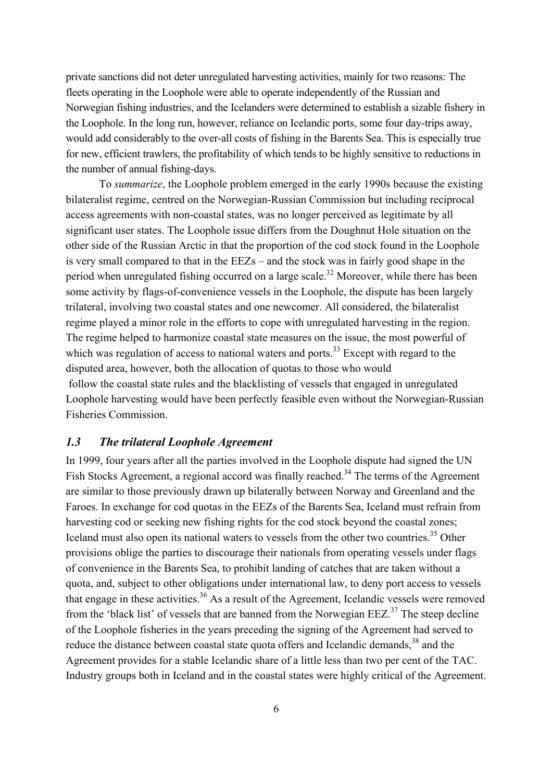private sanctions did not deter unregulated harvesting activities, mainly for two reasons: The fleets operating in the Loophole were able to operate independently of the Russian and Norwegian fishing industries, and the Icelanders were determined to establish a sizable fishery in the Loophole. In the long run, however, reliance on Icelandic ports, some four day-trips away, would add considerably to the over-all costs of fishing in the Barents Sea. This is especially true for new, efficient trawlers, the profitability of which tends to be highly sensitive to reductions in the number of annual fishing-days.

To *summarize*, the Loophole problem emerged in the early 1990s because the existing bilateralist regime, centred on the Norwegian-Russian Commission but including reciprocal access agreements with non-coastal states, was no longer perceived as legitimate by all significant user states. The Loophole issue differs from the Doughnut Hole situation on the other side of the Russian Arctic in that the proportion of the cod stock found in the Loophole is very small compared to that in the EEZs – and the stock was in fairly good shape in the period when unregulated fishing occurred on a large scale.<sup>32</sup> Moreover, while there has been some activity by flags-of-convenience vessels in the Loophole, the dispute has been largely trilateral, involving two coastal states and one newcomer. All considered, the bilateralist regime played a minor role in the efforts to cope with unregulated harvesting in the region. The regime helped to harmonize coastal state measures on the issue, the most powerful of which was regulation of access to national waters and ports.<sup>33</sup> Except with regard to the disputed area, however, both the allocation of quotas to those who would follow the coastal state rules and the blacklisting of vessels that engaged in unregulated Loophole harvesting would have been perfectly feasible even without the Norwegian-Russian Fisheries Commission.

#### *1.3 The trilateral Loophole Agreement*

In 1999, four years after all the parties involved in the Loophole dispute had signed the UN Fish Stocks Agreement, a regional accord was finally reached.<sup>34</sup> The terms of the Agreement are similar to those previously drawn up bilaterally between Norway and Greenland and the Faroes. In exchange for cod quotas in the EEZs of the Barents Sea, Iceland must refrain from harvesting cod or seeking new fishing rights for the cod stock beyond the coastal zones; Iceland must also open its national waters to vessels from the other two countries.<sup>35</sup> Other provisions oblige the parties to discourage their nationals from operating vessels under flags of convenience in the Barents Sea, to prohibit landing of catches that are taken without a quota, and, subject to other obligations under international law, to deny port access to vessels that engage in these activities.<sup>36</sup> As a result of the Agreement, Icelandic vessels were removed from the 'black list' of vessels that are banned from the Norwegian EEZ.<sup>37</sup> The steep decline of the Loophole fisheries in the years preceding the signing of the Agreement had served to reduce the distance between coastal state quota offers and Icelandic demands,<sup>38</sup> and the Agreement provides for a stable Icelandic share of a little less than two per cent of the TAC. Industry groups both in Iceland and in the coastal states were highly critical of the Agreement.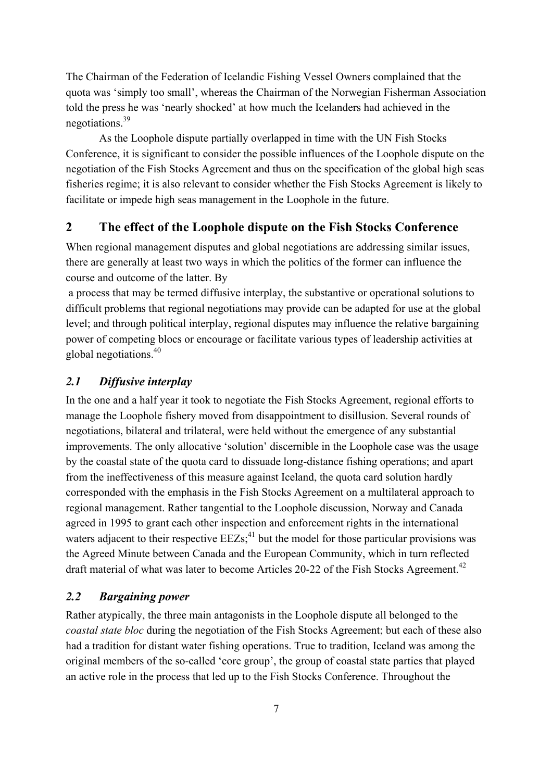The Chairman of the Federation of Icelandic Fishing Vessel Owners complained that the quota was 'simply too small', whereas the Chairman of the Norwegian Fisherman Association told the press he was 'nearly shocked' at how much the Icelanders had achieved in the negotiations.39

As the Loophole dispute partially overlapped in time with the UN Fish Stocks Conference, it is significant to consider the possible influences of the Loophole dispute on the negotiation of the Fish Stocks Agreement and thus on the specification of the global high seas fisheries regime; it is also relevant to consider whether the Fish Stocks Agreement is likely to facilitate or impede high seas management in the Loophole in the future.

# **2 The effect of the Loophole dispute on the Fish Stocks Conference**

When regional management disputes and global negotiations are addressing similar issues, there are generally at least two ways in which the politics of the former can influence the course and outcome of the latter. By

 a process that may be termed diffusive interplay, the substantive or operational solutions to difficult problems that regional negotiations may provide can be adapted for use at the global level; and through political interplay, regional disputes may influence the relative bargaining power of competing blocs or encourage or facilitate various types of leadership activities at global negotiations.<sup>40</sup>

# *2.1 Diffusive interplay*

In the one and a half year it took to negotiate the Fish Stocks Agreement, regional efforts to manage the Loophole fishery moved from disappointment to disillusion. Several rounds of negotiations, bilateral and trilateral, were held without the emergence of any substantial improvements. The only allocative 'solution' discernible in the Loophole case was the usage by the coastal state of the quota card to dissuade long-distance fishing operations; and apart from the ineffectiveness of this measure against Iceland, the quota card solution hardly corresponded with the emphasis in the Fish Stocks Agreement on a multilateral approach to regional management. Rather tangential to the Loophole discussion, Norway and Canada agreed in 1995 to grant each other inspection and enforcement rights in the international waters adjacent to their respective  $EEZs<sub>i</sub><sup>41</sup>$  but the model for those particular provisions was the Agreed Minute between Canada and the European Community, which in turn reflected draft material of what was later to become Articles 20-22 of the Fish Stocks Agreement.<sup>42</sup>

## *2.2 Bargaining power*

Rather atypically, the three main antagonists in the Loophole dispute all belonged to the *coastal state bloc* during the negotiation of the Fish Stocks Agreement; but each of these also had a tradition for distant water fishing operations. True to tradition, Iceland was among the original members of the so-called 'core group', the group of coastal state parties that played an active role in the process that led up to the Fish Stocks Conference. Throughout the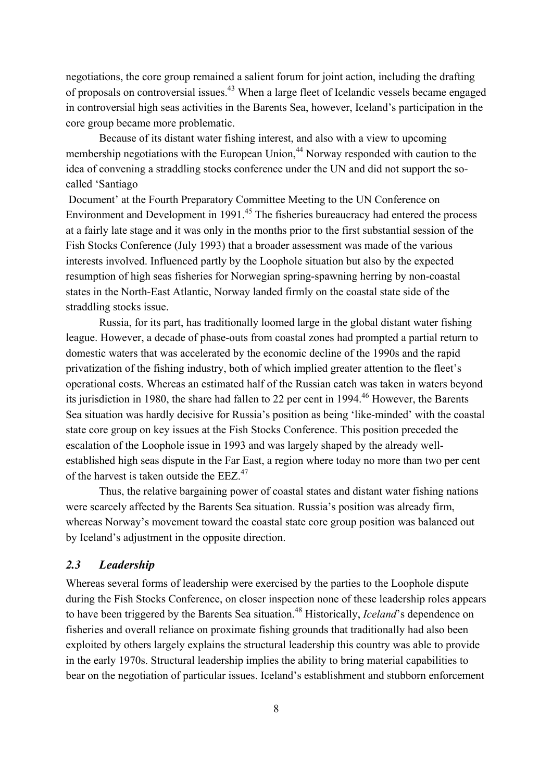negotiations, the core group remained a salient forum for joint action, including the drafting of proposals on controversial issues.43 When a large fleet of Icelandic vessels became engaged in controversial high seas activities in the Barents Sea, however, Iceland's participation in the core group became more problematic.

Because of its distant water fishing interest, and also with a view to upcoming membership negotiations with the European Union,<sup>44</sup> Norway responded with caution to the idea of convening a straddling stocks conference under the UN and did not support the socalled 'Santiago

 Document' at the Fourth Preparatory Committee Meeting to the UN Conference on Environment and Development in  $1991<sup>45</sup>$  The fisheries bureaucracy had entered the process at a fairly late stage and it was only in the months prior to the first substantial session of the Fish Stocks Conference (July 1993) that a broader assessment was made of the various interests involved. Influenced partly by the Loophole situation but also by the expected resumption of high seas fisheries for Norwegian spring-spawning herring by non-coastal states in the North-East Atlantic, Norway landed firmly on the coastal state side of the straddling stocks issue.

Russia, for its part, has traditionally loomed large in the global distant water fishing league. However, a decade of phase-outs from coastal zones had prompted a partial return to domestic waters that was accelerated by the economic decline of the 1990s and the rapid privatization of the fishing industry, both of which implied greater attention to the fleet's operational costs. Whereas an estimated half of the Russian catch was taken in waters beyond its jurisdiction in 1980, the share had fallen to 22 per cent in 1994. $^{46}$  However, the Barents Sea situation was hardly decisive for Russia's position as being 'like-minded' with the coastal state core group on key issues at the Fish Stocks Conference. This position preceded the escalation of the Loophole issue in 1993 and was largely shaped by the already wellestablished high seas dispute in the Far East, a region where today no more than two per cent of the harvest is taken outside the EEZ.<sup>47</sup>

Thus, the relative bargaining power of coastal states and distant water fishing nations were scarcely affected by the Barents Sea situation. Russia's position was already firm, whereas Norway's movement toward the coastal state core group position was balanced out by Iceland's adjustment in the opposite direction.

#### *2.3 Leadership*

Whereas several forms of leadership were exercised by the parties to the Loophole dispute during the Fish Stocks Conference, on closer inspection none of these leadership roles appears to have been triggered by the Barents Sea situation.<sup>48</sup> Historically, *Iceland*'s dependence on fisheries and overall reliance on proximate fishing grounds that traditionally had also been exploited by others largely explains the structural leadership this country was able to provide in the early 1970s. Structural leadership implies the ability to bring material capabilities to bear on the negotiation of particular issues. Iceland's establishment and stubborn enforcement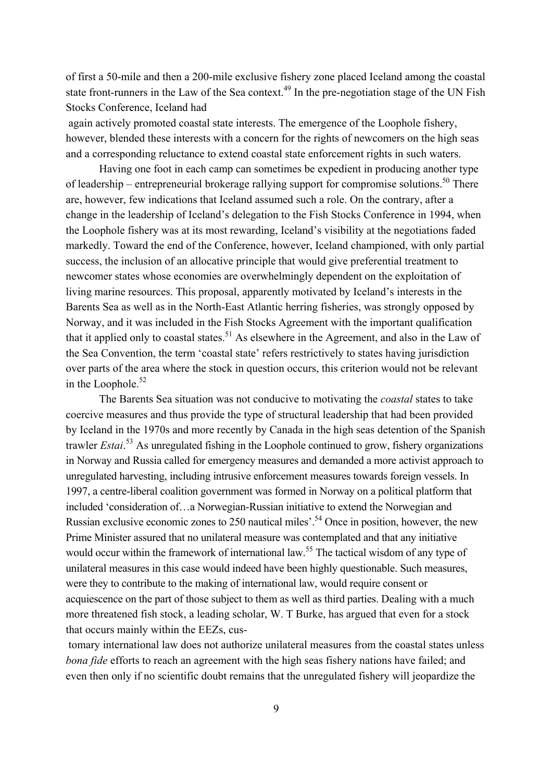of first a 50-mile and then a 200-mile exclusive fishery zone placed Iceland among the coastal state front-runners in the Law of the Sea context.<sup>49</sup> In the pre-negotiation stage of the UN Fish Stocks Conference, Iceland had

 again actively promoted coastal state interests. The emergence of the Loophole fishery, however, blended these interests with a concern for the rights of newcomers on the high seas and a corresponding reluctance to extend coastal state enforcement rights in such waters.

Having one foot in each camp can sometimes be expedient in producing another type of leadership – entrepreneurial brokerage rallying support for compromise solutions.<sup>50</sup> There are, however, few indications that Iceland assumed such a role. On the contrary, after a change in the leadership of Iceland's delegation to the Fish Stocks Conference in 1994, when the Loophole fishery was at its most rewarding, Iceland's visibility at the negotiations faded markedly. Toward the end of the Conference, however, Iceland championed, with only partial success, the inclusion of an allocative principle that would give preferential treatment to newcomer states whose economies are overwhelmingly dependent on the exploitation of living marine resources. This proposal, apparently motivated by Iceland's interests in the Barents Sea as well as in the North-East Atlantic herring fisheries, was strongly opposed by Norway, and it was included in the Fish Stocks Agreement with the important qualification that it applied only to coastal states.<sup>51</sup> As elsewhere in the Agreement, and also in the Law of the Sea Convention, the term 'coastal state' refers restrictively to states having jurisdiction over parts of the area where the stock in question occurs, this criterion would not be relevant in the Loophole. $52$ 

The Barents Sea situation was not conducive to motivating the *coastal* states to take coercive measures and thus provide the type of structural leadership that had been provided by Iceland in the 1970s and more recently by Canada in the high seas detention of the Spanish trawler *Estai*. 53 As unregulated fishing in the Loophole continued to grow, fishery organizations in Norway and Russia called for emergency measures and demanded a more activist approach to unregulated harvesting, including intrusive enforcement measures towards foreign vessels. In 1997, a centre-liberal coalition government was formed in Norway on a political platform that included 'consideration of…a Norwegian-Russian initiative to extend the Norwegian and Russian exclusive economic zones to 250 nautical miles'.<sup>54</sup> Once in position, however, the new Prime Minister assured that no unilateral measure was contemplated and that any initiative would occur within the framework of international law.<sup>55</sup> The tactical wisdom of any type of unilateral measures in this case would indeed have been highly questionable. Such measures, were they to contribute to the making of international law, would require consent or acquiescence on the part of those subject to them as well as third parties. Dealing with a much more threatened fish stock, a leading scholar, W. T Burke, has argued that even for a stock that occurs mainly within the EEZs, cus-

 tomary international law does not authorize unilateral measures from the coastal states unless *bona fide* efforts to reach an agreement with the high seas fishery nations have failed; and even then only if no scientific doubt remains that the unregulated fishery will jeopardize the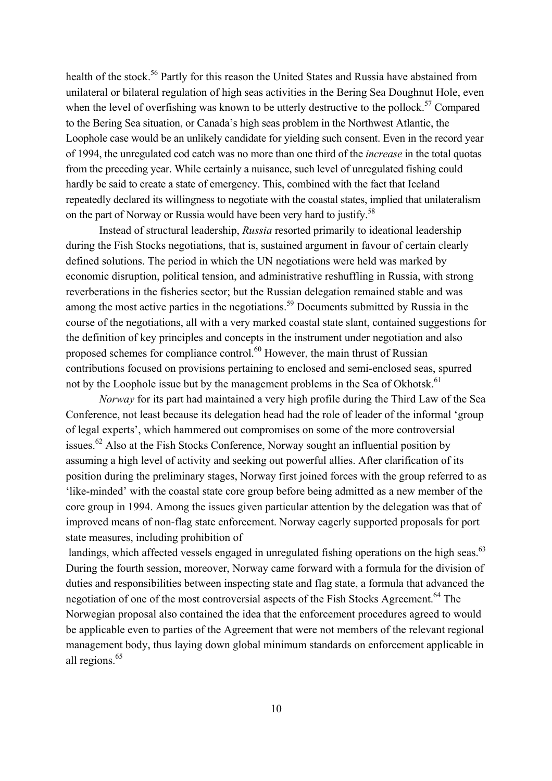health of the stock.<sup>56</sup> Partly for this reason the United States and Russia have abstained from unilateral or bilateral regulation of high seas activities in the Bering Sea Doughnut Hole, even when the level of overfishing was known to be utterly destructive to the pollock.<sup>57</sup> Compared to the Bering Sea situation, or Canada's high seas problem in the Northwest Atlantic, the Loophole case would be an unlikely candidate for yielding such consent. Even in the record year of 1994, the unregulated cod catch was no more than one third of the *increase* in the total quotas from the preceding year. While certainly a nuisance, such level of unregulated fishing could hardly be said to create a state of emergency. This, combined with the fact that Iceland repeatedly declared its willingness to negotiate with the coastal states, implied that unilateralism on the part of Norway or Russia would have been very hard to justify.<sup>58</sup>

Instead of structural leadership, *Russia* resorted primarily to ideational leadership during the Fish Stocks negotiations, that is, sustained argument in favour of certain clearly defined solutions. The period in which the UN negotiations were held was marked by economic disruption, political tension, and administrative reshuffling in Russia, with strong reverberations in the fisheries sector; but the Russian delegation remained stable and was among the most active parties in the negotiations.<sup>59</sup> Documents submitted by Russia in the course of the negotiations, all with a very marked coastal state slant, contained suggestions for the definition of key principles and concepts in the instrument under negotiation and also proposed schemes for compliance control.<sup>60</sup> However, the main thrust of Russian contributions focused on provisions pertaining to enclosed and semi-enclosed seas, spurred not by the Loophole issue but by the management problems in the Sea of Okhotsk.<sup>61</sup>

*Norway* for its part had maintained a very high profile during the Third Law of the Sea Conference, not least because its delegation head had the role of leader of the informal 'group of legal experts', which hammered out compromises on some of the more controversial issues.<sup>62</sup> Also at the Fish Stocks Conference, Norway sought an influential position by assuming a high level of activity and seeking out powerful allies. After clarification of its position during the preliminary stages, Norway first joined forces with the group referred to as 'like-minded' with the coastal state core group before being admitted as a new member of the core group in 1994. Among the issues given particular attention by the delegation was that of improved means of non-flag state enforcement. Norway eagerly supported proposals for port state measures, including prohibition of

landings, which affected vessels engaged in unregulated fishing operations on the high seas.<sup>63</sup> During the fourth session, moreover, Norway came forward with a formula for the division of duties and responsibilities between inspecting state and flag state, a formula that advanced the negotiation of one of the most controversial aspects of the Fish Stocks Agreement.<sup>64</sup> The Norwegian proposal also contained the idea that the enforcement procedures agreed to would be applicable even to parties of the Agreement that were not members of the relevant regional management body, thus laying down global minimum standards on enforcement applicable in all regions.<sup>65</sup>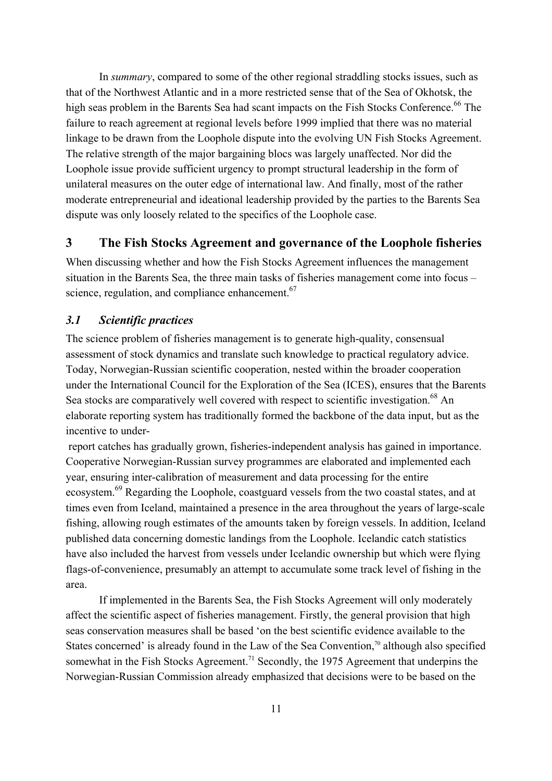In *summary*, compared to some of the other regional straddling stocks issues, such as that of the Northwest Atlantic and in a more restricted sense that of the Sea of Okhotsk, the high seas problem in the Barents Sea had scant impacts on the Fish Stocks Conference.<sup>66</sup> The failure to reach agreement at regional levels before 1999 implied that there was no material linkage to be drawn from the Loophole dispute into the evolving UN Fish Stocks Agreement. The relative strength of the major bargaining blocs was largely unaffected. Nor did the Loophole issue provide sufficient urgency to prompt structural leadership in the form of unilateral measures on the outer edge of international law. And finally, most of the rather moderate entrepreneurial and ideational leadership provided by the parties to the Barents Sea dispute was only loosely related to the specifics of the Loophole case.

# **3 The Fish Stocks Agreement and governance of the Loophole fisheries**

When discussing whether and how the Fish Stocks Agreement influences the management situation in the Barents Sea, the three main tasks of fisheries management come into focus – science, regulation, and compliance enhancement.<sup>67</sup>

# *3.1 Scientific practices*

The science problem of fisheries management is to generate high-quality, consensual assessment of stock dynamics and translate such knowledge to practical regulatory advice. Today, Norwegian-Russian scientific cooperation, nested within the broader cooperation under the International Council for the Exploration of the Sea (ICES), ensures that the Barents Sea stocks are comparatively well covered with respect to scientific investigation.<sup>68</sup> An elaborate reporting system has traditionally formed the backbone of the data input, but as the incentive to under-

 report catches has gradually grown, fisheries-independent analysis has gained in importance. Cooperative Norwegian-Russian survey programmes are elaborated and implemented each year, ensuring inter-calibration of measurement and data processing for the entire ecosystem.<sup>69</sup> Regarding the Loophole, coastguard vessels from the two coastal states, and at times even from Iceland, maintained a presence in the area throughout the years of large-scale fishing, allowing rough estimates of the amounts taken by foreign vessels. In addition, Iceland published data concerning domestic landings from the Loophole. Icelandic catch statistics have also included the harvest from vessels under Icelandic ownership but which were flying flags-of-convenience, presumably an attempt to accumulate some track level of fishing in the area.

If implemented in the Barents Sea, the Fish Stocks Agreement will only moderately affect the scientific aspect of fisheries management. Firstly, the general provision that high seas conservation measures shall be based 'on the best scientific evidence available to the States concerned' is already found in the Law of the Sea Convention,<sup>70</sup> although also specified somewhat in the Fish Stocks Agreement.<sup>71</sup> Secondly, the 1975 Agreement that underpins the Norwegian-Russian Commission already emphasized that decisions were to be based on the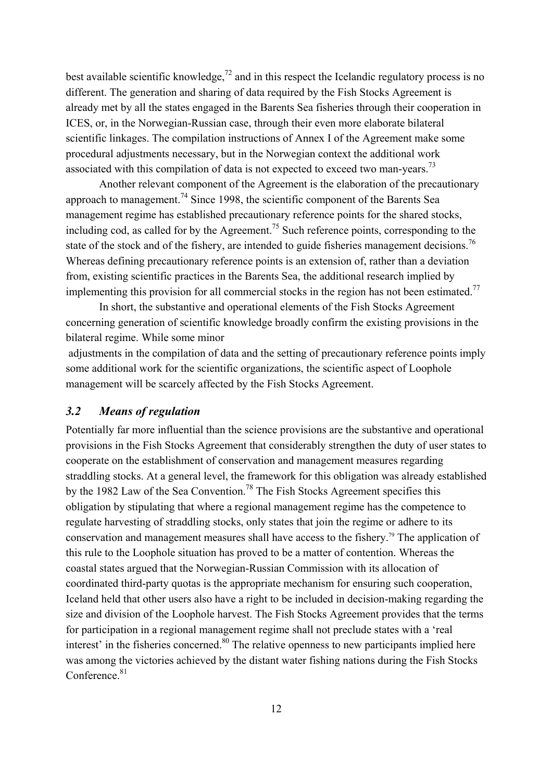best available scientific knowledge,<sup>72</sup> and in this respect the Icelandic regulatory process is no different. The generation and sharing of data required by the Fish Stocks Agreement is already met by all the states engaged in the Barents Sea fisheries through their cooperation in ICES, or, in the Norwegian-Russian case, through their even more elaborate bilateral scientific linkages. The compilation instructions of Annex I of the Agreement make some procedural adjustments necessary, but in the Norwegian context the additional work associated with this compilation of data is not expected to exceed two man-years.<sup>73</sup>

Another relevant component of the Agreement is the elaboration of the precautionary approach to management.<sup>74</sup> Since 1998, the scientific component of the Barents Sea management regime has established precautionary reference points for the shared stocks, including cod, as called for by the Agreement.<sup>75</sup> Such reference points, corresponding to the state of the stock and of the fishery, are intended to guide fisheries management decisions.<sup>76</sup> Whereas defining precautionary reference points is an extension of, rather than a deviation from, existing scientific practices in the Barents Sea, the additional research implied by implementing this provision for all commercial stocks in the region has not been estimated.<sup>77</sup>

In short, the substantive and operational elements of the Fish Stocks Agreement concerning generation of scientific knowledge broadly confirm the existing provisions in the bilateral regime. While some minor

 adjustments in the compilation of data and the setting of precautionary reference points imply some additional work for the scientific organizations, the scientific aspect of Loophole management will be scarcely affected by the Fish Stocks Agreement.

## *3.2 Means of regulation*

Potentially far more influential than the science provisions are the substantive and operational provisions in the Fish Stocks Agreement that considerably strengthen the duty of user states to cooperate on the establishment of conservation and management measures regarding straddling stocks. At a general level, the framework for this obligation was already established by the 1982 Law of the Sea Convention.<sup>78</sup> The Fish Stocks Agreement specifies this obligation by stipulating that where a regional management regime has the competence to regulate harvesting of straddling stocks, only states that join the regime or adhere to its conservation and management measures shall have access to the fishery.79 The application of this rule to the Loophole situation has proved to be a matter of contention. Whereas the coastal states argued that the Norwegian-Russian Commission with its allocation of coordinated third-party quotas is the appropriate mechanism for ensuring such cooperation, Iceland held that other users also have a right to be included in decision-making regarding the size and division of the Loophole harvest. The Fish Stocks Agreement provides that the terms for participation in a regional management regime shall not preclude states with a 'real interest' in the fisheries concerned.<sup>80</sup> The relative openness to new participants implied here was among the victories achieved by the distant water fishing nations during the Fish Stocks Conference<sup>81</sup>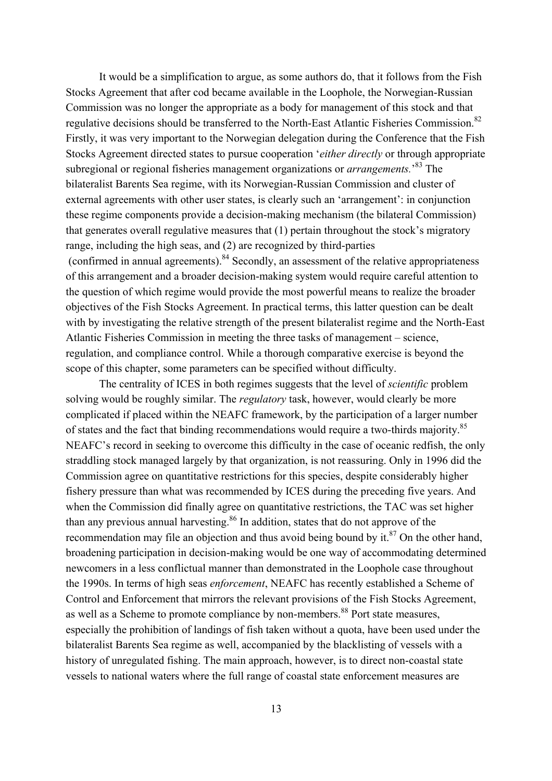It would be a simplification to argue, as some authors do, that it follows from the Fish Stocks Agreement that after cod became available in the Loophole, the Norwegian-Russian Commission was no longer the appropriate as a body for management of this stock and that regulative decisions should be transferred to the North-East Atlantic Fisheries Commission.<sup>82</sup> Firstly, it was very important to the Norwegian delegation during the Conference that the Fish Stocks Agreement directed states to pursue cooperation '*either directly* or through appropriate subregional or regional fisheries management organizations or *arrangements.*' 83 The bilateralist Barents Sea regime, with its Norwegian-Russian Commission and cluster of external agreements with other user states, is clearly such an 'arrangement': in conjunction these regime components provide a decision-making mechanism (the bilateral Commission) that generates overall regulative measures that (1) pertain throughout the stock's migratory range, including the high seas, and (2) are recognized by third-parties (confirmed in annual agreements).  $84$  Secondly, an assessment of the relative appropriateness of this arrangement and a broader decision-making system would require careful attention to the question of which regime would provide the most powerful means to realize the broader objectives of the Fish Stocks Agreement. In practical terms, this latter question can be dealt with by investigating the relative strength of the present bilateralist regime and the North-East Atlantic Fisheries Commission in meeting the three tasks of management – science, regulation, and compliance control. While a thorough comparative exercise is beyond the scope of this chapter, some parameters can be specified without difficulty.

The centrality of ICES in both regimes suggests that the level of *scientific* problem solving would be roughly similar. The *regulatory* task, however, would clearly be more complicated if placed within the NEAFC framework, by the participation of a larger number of states and the fact that binding recommendations would require a two-thirds majority.<sup>85</sup> NEAFC's record in seeking to overcome this difficulty in the case of oceanic redfish, the only straddling stock managed largely by that organization, is not reassuring. Only in 1996 did the Commission agree on quantitative restrictions for this species, despite considerably higher fishery pressure than what was recommended by ICES during the preceding five years. And when the Commission did finally agree on quantitative restrictions, the TAC was set higher than any previous annual harvesting.<sup>86</sup> In addition, states that do not approve of the recommendation may file an objection and thus avoid being bound by it. $87$  On the other hand, broadening participation in decision-making would be one way of accommodating determined newcomers in a less conflictual manner than demonstrated in the Loophole case throughout the 1990s. In terms of high seas *enforcement*, NEAFC has recently established a Scheme of Control and Enforcement that mirrors the relevant provisions of the Fish Stocks Agreement, as well as a Scheme to promote compliance by non-members.<sup>88</sup> Port state measures, especially the prohibition of landings of fish taken without a quota, have been used under the bilateralist Barents Sea regime as well, accompanied by the blacklisting of vessels with a history of unregulated fishing. The main approach, however, is to direct non-coastal state vessels to national waters where the full range of coastal state enforcement measures are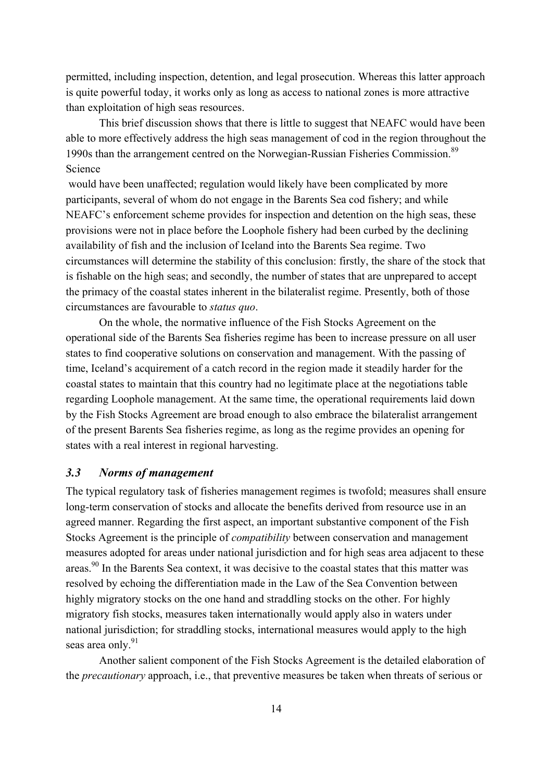permitted, including inspection, detention, and legal prosecution. Whereas this latter approach is quite powerful today, it works only as long as access to national zones is more attractive than exploitation of high seas resources.

This brief discussion shows that there is little to suggest that NEAFC would have been able to more effectively address the high seas management of cod in the region throughout the 1990s than the arrangement centred on the Norwegian-Russian Fisheries Commission.<sup>89</sup> Science

 would have been unaffected; regulation would likely have been complicated by more participants, several of whom do not engage in the Barents Sea cod fishery; and while NEAFC's enforcement scheme provides for inspection and detention on the high seas, these provisions were not in place before the Loophole fishery had been curbed by the declining availability of fish and the inclusion of Iceland into the Barents Sea regime. Two circumstances will determine the stability of this conclusion: firstly, the share of the stock that is fishable on the high seas; and secondly, the number of states that are unprepared to accept the primacy of the coastal states inherent in the bilateralist regime. Presently, both of those circumstances are favourable to *status quo*.

On the whole, the normative influence of the Fish Stocks Agreement on the operational side of the Barents Sea fisheries regime has been to increase pressure on all user states to find cooperative solutions on conservation and management. With the passing of time, Iceland's acquirement of a catch record in the region made it steadily harder for the coastal states to maintain that this country had no legitimate place at the negotiations table regarding Loophole management. At the same time, the operational requirements laid down by the Fish Stocks Agreement are broad enough to also embrace the bilateralist arrangement of the present Barents Sea fisheries regime, as long as the regime provides an opening for states with a real interest in regional harvesting.

#### *3.3 Norms of management*

The typical regulatory task of fisheries management regimes is twofold; measures shall ensure long-term conservation of stocks and allocate the benefits derived from resource use in an agreed manner. Regarding the first aspect, an important substantive component of the Fish Stocks Agreement is the principle of *compatibility* between conservation and management measures adopted for areas under national jurisdiction and for high seas area adjacent to these areas.90 In the Barents Sea context, it was decisive to the coastal states that this matter was resolved by echoing the differentiation made in the Law of the Sea Convention between highly migratory stocks on the one hand and straddling stocks on the other. For highly migratory fish stocks, measures taken internationally would apply also in waters under national jurisdiction; for straddling stocks, international measures would apply to the high seas area only.<sup>91</sup>

Another salient component of the Fish Stocks Agreement is the detailed elaboration of the *precautionary* approach, i.e., that preventive measures be taken when threats of serious or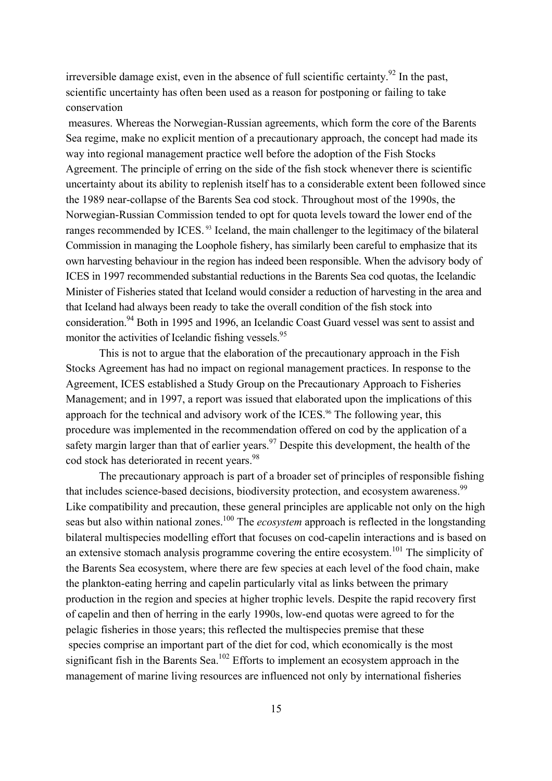irreversible damage exist, even in the absence of full scientific certainty.<sup>92</sup> In the past, scientific uncertainty has often been used as a reason for postponing or failing to take conservation

 measures. Whereas the Norwegian-Russian agreements, which form the core of the Barents Sea regime, make no explicit mention of a precautionary approach, the concept had made its way into regional management practice well before the adoption of the Fish Stocks Agreement. The principle of erring on the side of the fish stock whenever there is scientific uncertainty about its ability to replenish itself has to a considerable extent been followed since the 1989 near-collapse of the Barents Sea cod stock. Throughout most of the 1990s, the Norwegian-Russian Commission tended to opt for quota levels toward the lower end of the ranges recommended by ICES.<sup>93</sup> Iceland, the main challenger to the legitimacy of the bilateral Commission in managing the Loophole fishery, has similarly been careful to emphasize that its own harvesting behaviour in the region has indeed been responsible. When the advisory body of ICES in 1997 recommended substantial reductions in the Barents Sea cod quotas, the Icelandic Minister of Fisheries stated that Iceland would consider a reduction of harvesting in the area and that Iceland had always been ready to take the overall condition of the fish stock into consideration.<sup>94</sup> Both in 1995 and 1996, an Icelandic Coast Guard vessel was sent to assist and monitor the activities of Icelandic fishing vessels.<sup>95</sup>

This is not to argue that the elaboration of the precautionary approach in the Fish Stocks Agreement has had no impact on regional management practices. In response to the Agreement, ICES established a Study Group on the Precautionary Approach to Fisheries Management; and in 1997, a report was issued that elaborated upon the implications of this approach for the technical and advisory work of the ICES.<sup>96</sup> The following year, this procedure was implemented in the recommendation offered on cod by the application of a safety margin larger than that of earlier years.<sup>97</sup> Despite this development, the health of the cod stock has deteriorated in recent years.<sup>98</sup>

The precautionary approach is part of a broader set of principles of responsible fishing that includes science-based decisions, biodiversity protection, and ecosystem awareness.<sup>99</sup> Like compatibility and precaution, these general principles are applicable not only on the high seas but also within national zones.<sup>100</sup> The *ecosystem* approach is reflected in the longstanding bilateral multispecies modelling effort that focuses on cod-capelin interactions and is based on an extensive stomach analysis programme covering the entire ecosystem.<sup>101</sup> The simplicity of the Barents Sea ecosystem, where there are few species at each level of the food chain, make the plankton-eating herring and capelin particularly vital as links between the primary production in the region and species at higher trophic levels. Despite the rapid recovery first of capelin and then of herring in the early 1990s, low-end quotas were agreed to for the pelagic fisheries in those years; this reflected the multispecies premise that these species comprise an important part of the diet for cod, which economically is the most significant fish in the Barents Sea.<sup>102</sup> Efforts to implement an ecosystem approach in the management of marine living resources are influenced not only by international fisheries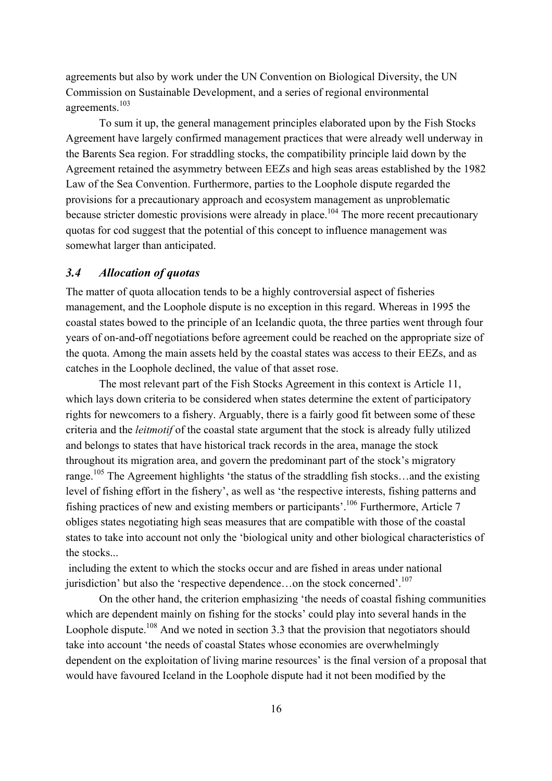agreements but also by work under the UN Convention on Biological Diversity, the UN Commission on Sustainable Development, and a series of regional environmental agreements.103

To sum it up, the general management principles elaborated upon by the Fish Stocks Agreement have largely confirmed management practices that were already well underway in the Barents Sea region. For straddling stocks, the compatibility principle laid down by the Agreement retained the asymmetry between EEZs and high seas areas established by the 1982 Law of the Sea Convention. Furthermore, parties to the Loophole dispute regarded the provisions for a precautionary approach and ecosystem management as unproblematic because stricter domestic provisions were already in place.<sup>104</sup> The more recent precautionary quotas for cod suggest that the potential of this concept to influence management was somewhat larger than anticipated.

## *3.4 Allocation of quotas*

The matter of quota allocation tends to be a highly controversial aspect of fisheries management, and the Loophole dispute is no exception in this regard. Whereas in 1995 the coastal states bowed to the principle of an Icelandic quota, the three parties went through four years of on-and-off negotiations before agreement could be reached on the appropriate size of the quota. Among the main assets held by the coastal states was access to their EEZs, and as catches in the Loophole declined, the value of that asset rose.

The most relevant part of the Fish Stocks Agreement in this context is Article 11, which lays down criteria to be considered when states determine the extent of participatory rights for newcomers to a fishery. Arguably, there is a fairly good fit between some of these criteria and the *leitmotif* of the coastal state argument that the stock is already fully utilized and belongs to states that have historical track records in the area, manage the stock throughout its migration area, and govern the predominant part of the stock's migratory range.<sup>105</sup> The Agreement highlights 'the status of the straddling fish stocks...and the existing level of fishing effort in the fishery', as well as 'the respective interests, fishing patterns and fishing practices of new and existing members or participants'.106 Furthermore, Article 7 obliges states negotiating high seas measures that are compatible with those of the coastal states to take into account not only the 'biological unity and other biological characteristics of the stocks...

 including the extent to which the stocks occur and are fished in areas under national jurisdiction' but also the 'respective dependence...on the stock concerned'.<sup>107</sup>

On the other hand, the criterion emphasizing 'the needs of coastal fishing communities which are dependent mainly on fishing for the stocks' could play into several hands in the Loophole dispute.<sup>108</sup> And we noted in section 3.3 that the provision that negotiators should take into account 'the needs of coastal States whose economies are overwhelmingly dependent on the exploitation of living marine resources' is the final version of a proposal that would have favoured Iceland in the Loophole dispute had it not been modified by the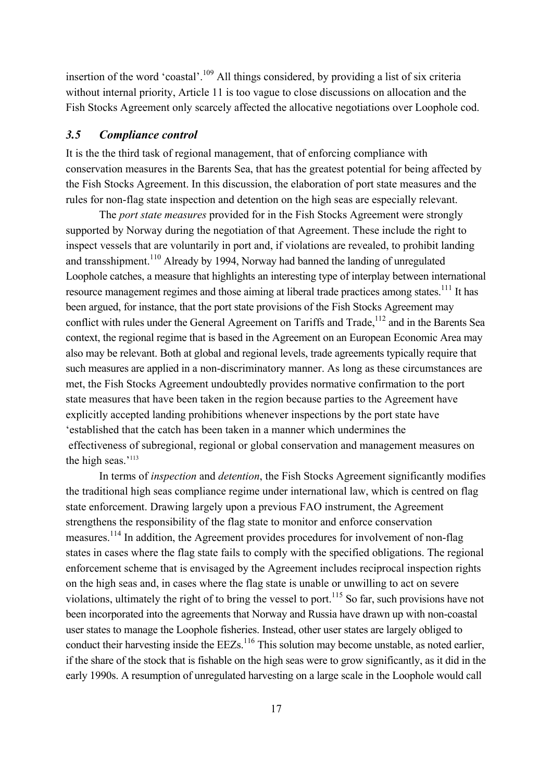insertion of the word 'coastal'.109 All things considered, by providing a list of six criteria without internal priority, Article 11 is too vague to close discussions on allocation and the Fish Stocks Agreement only scarcely affected the allocative negotiations over Loophole cod.

#### *3.5 Compliance control*

It is the the third task of regional management, that of enforcing compliance with conservation measures in the Barents Sea, that has the greatest potential for being affected by the Fish Stocks Agreement. In this discussion, the elaboration of port state measures and the rules for non-flag state inspection and detention on the high seas are especially relevant.

The *port state measures* provided for in the Fish Stocks Agreement were strongly supported by Norway during the negotiation of that Agreement. These include the right to inspect vessels that are voluntarily in port and, if violations are revealed, to prohibit landing and transshipment.<sup>110</sup> Already by 1994, Norway had banned the landing of unregulated Loophole catches, a measure that highlights an interesting type of interplay between international resource management regimes and those aiming at liberal trade practices among states.<sup>111</sup> It has been argued, for instance, that the port state provisions of the Fish Stocks Agreement may conflict with rules under the General Agreement on Tariffs and Trade,<sup>112</sup> and in the Barents Sea context, the regional regime that is based in the Agreement on an European Economic Area may also may be relevant. Both at global and regional levels, trade agreements typically require that such measures are applied in a non-discriminatory manner. As long as these circumstances are met, the Fish Stocks Agreement undoubtedly provides normative confirmation to the port state measures that have been taken in the region because parties to the Agreement have explicitly accepted landing prohibitions whenever inspections by the port state have 'established that the catch has been taken in a manner which undermines the effectiveness of subregional, regional or global conservation and management measures on the high seas.'<sup>113</sup>

In terms of *inspection* and *detention*, the Fish Stocks Agreement significantly modifies the traditional high seas compliance regime under international law, which is centred on flag state enforcement. Drawing largely upon a previous FAO instrument, the Agreement strengthens the responsibility of the flag state to monitor and enforce conservation measures.114 In addition, the Agreement provides procedures for involvement of non-flag states in cases where the flag state fails to comply with the specified obligations. The regional enforcement scheme that is envisaged by the Agreement includes reciprocal inspection rights on the high seas and, in cases where the flag state is unable or unwilling to act on severe violations, ultimately the right of to bring the vessel to port.<sup>115</sup> So far, such provisions have not been incorporated into the agreements that Norway and Russia have drawn up with non-coastal user states to manage the Loophole fisheries. Instead, other user states are largely obliged to conduct their harvesting inside the EEZs.<sup>116</sup> This solution may become unstable, as noted earlier, if the share of the stock that is fishable on the high seas were to grow significantly, as it did in the early 1990s. A resumption of unregulated harvesting on a large scale in the Loophole would call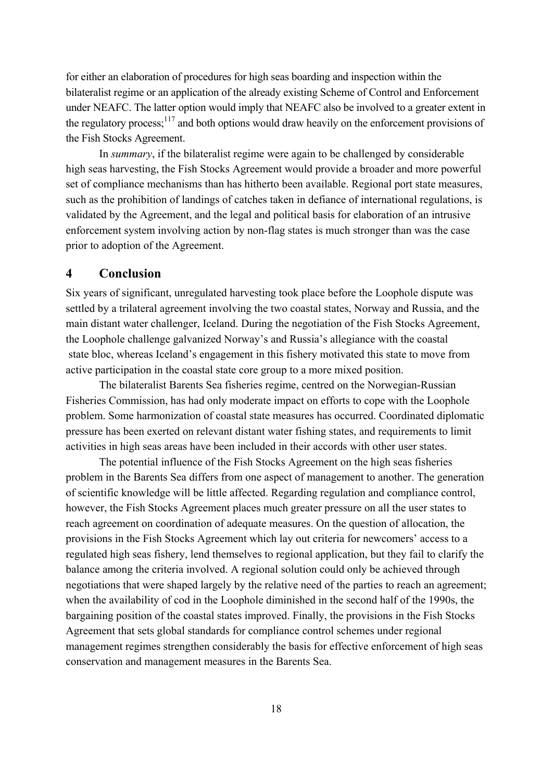for either an elaboration of procedures for high seas boarding and inspection within the bilateralist regime or an application of the already existing Scheme of Control and Enforcement under NEAFC. The latter option would imply that NEAFC also be involved to a greater extent in the regulatory process; $^{117}$  and both options would draw heavily on the enforcement provisions of the Fish Stocks Agreement.

In *summary*, if the bilateralist regime were again to be challenged by considerable high seas harvesting, the Fish Stocks Agreement would provide a broader and more powerful set of compliance mechanisms than has hitherto been available. Regional port state measures, such as the prohibition of landings of catches taken in defiance of international regulations, is validated by the Agreement, and the legal and political basis for elaboration of an intrusive enforcement system involving action by non-flag states is much stronger than was the case prior to adoption of the Agreement.

# **4 Conclusion**

Six years of significant, unregulated harvesting took place before the Loophole dispute was settled by a trilateral agreement involving the two coastal states, Norway and Russia, and the main distant water challenger, Iceland. During the negotiation of the Fish Stocks Agreement, the Loophole challenge galvanized Norway's and Russia's allegiance with the coastal state bloc, whereas Iceland's engagement in this fishery motivated this state to move from active participation in the coastal state core group to a more mixed position.

The bilateralist Barents Sea fisheries regime, centred on the Norwegian-Russian Fisheries Commission, has had only moderate impact on efforts to cope with the Loophole problem. Some harmonization of coastal state measures has occurred. Coordinated diplomatic pressure has been exerted on relevant distant water fishing states, and requirements to limit activities in high seas areas have been included in their accords with other user states.

The potential influence of the Fish Stocks Agreement on the high seas fisheries problem in the Barents Sea differs from one aspect of management to another. The generation of scientific knowledge will be little affected. Regarding regulation and compliance control, however, the Fish Stocks Agreement places much greater pressure on all the user states to reach agreement on coordination of adequate measures. On the question of allocation, the provisions in the Fish Stocks Agreement which lay out criteria for newcomers' access to a regulated high seas fishery, lend themselves to regional application, but they fail to clarify the balance among the criteria involved. A regional solution could only be achieved through negotiations that were shaped largely by the relative need of the parties to reach an agreement; when the availability of cod in the Loophole diminished in the second half of the 1990s, the bargaining position of the coastal states improved. Finally, the provisions in the Fish Stocks Agreement that sets global standards for compliance control schemes under regional management regimes strengthen considerably the basis for effective enforcement of high seas conservation and management measures in the Barents Sea.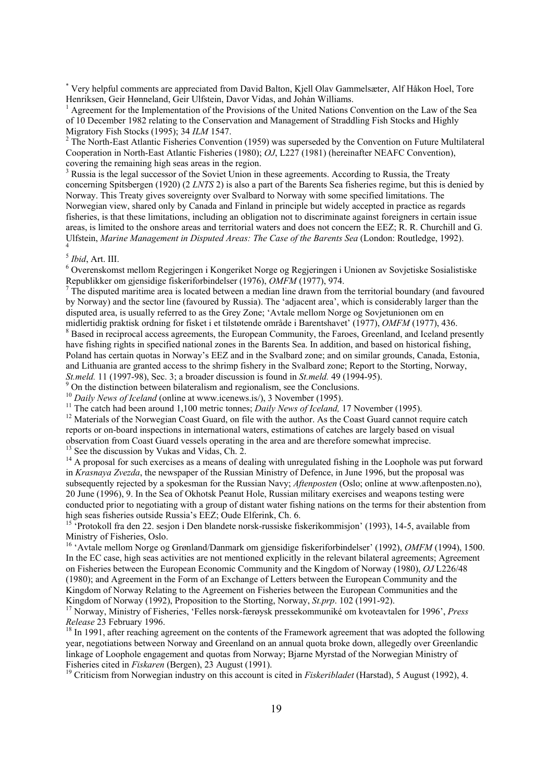\* Very helpful comments are appreciated from David Balton, Kjell Olav Gammelsæter, Alf Håkon Hoel, Tore Henriksen, Geir Hønneland, Geir Ulfstein, Davor Vidas, and Johàn Williams. <sup>1</sup>

 $^1$  Agreement for the Implementation of the Provisions of the United Nations Convention on the Law of the Sea of 10 December 1982 relating to the Conservation and Management of Straddling Fish Stocks and Highly Migratory Fish Stocks (1995); 34 *ILM* 1547. <sup>2</sup>

 $2$  The North-East Atlantic Fisheries Convention (1959) was superseded by the Convention on Future Multilateral Cooperation in North-East Atlantic Fisheries (1980); *OJ*, L227 (1981) (hereinafter NEAFC Convention), covering the remaining high seas areas in the region.

<sup>3</sup> Russia is the legal successor of the Soviet Union in these agreements. According to Russia, the Treaty concerning Spitsbergen (1920) (2 *LNTS* 2) is also a part of the Barents Sea fisheries regime, but this is denied by Norway. This Treaty gives sovereignty over Svalbard to Norway with some specified limitations. The Norwegian view, shared only by Canada and Finland in principle but widely accepted in practice as regards fisheries, is that these limitations, including an obligation not to discriminate against foreigners in certain issue areas, is limited to the onshore areas and territorial waters and does not concern the EEZ; R. R. Churchill and G. Ulfstein, *Marine Management in Disputed Areas: The Case of the Barents Sea* (London: Routledge, 1992).

<sup>5</sup> *Ibid*, Art. III. <sup>6</sup>

 Overenskomst mellom Regjeringen i Kongeriket Norge og Regjeringen i Unionen av Sovjetiske Sosialistiske Republikker om gjensidige fiskeriforbindelser (1976), *OMFM* (1977), 974.

 $\frac{7}{7}$  The disputed maritime area is located between a median line drawn from the territorial boundary (and favoured by Norway) and the sector line (favoured by Russia). The 'adjacent area', which is considerably larger than the disputed area, is usually referred to as the Grey Zone; 'Avtale mellom Norge og Sovjetunionen om en midlertidig praktisk ordning for fisket i et tilstøtende område i Barentshavet' (1977), *OMFM* (1977), 436. <sup>8</sup> <sup>8</sup> Based in reciprocal access agreements, the European Community, the Faroes, Greenland, and Iceland presently have fishing rights in specified national zones in the Barents Sea. In addition, and based on historical fishing, Poland has certain quotas in Norway's EEZ and in the Svalbard zone; and on similar grounds, Canada, Estonia,

and Lithuania are granted access to the shrimp fishery in the Svalbard zone; Report to the Storting, Norway, *St.meld.* 11 (1997-98), Sec. 3; a broader discussion is found in *St.meld.* 49 (1994-95).

<sup>9</sup> On the distinction between bilateralism and regionalism, see the Conclusions.<br><sup>10</sup> Daily News of Iceland (online at www.icenews.is/), 3 November (1995).

<sup>11</sup> The catch had been around 1,100 metric tonnes; *Daily News of Iceland*, 17 November (1995).<br><sup>12</sup> Materials of the Norwegian Coast Guard, on file with the author. As the Coast Guard cannot require catch reports or on-board inspections in international waters, estimations of catches are largely based on visual observation from Coast Guard vessels operating in the area and are therefore somewhat imprecise. 13 See the discussion by Vukas and Vidas, Ch. 2.

<sup>14</sup> A proposal for such exercises as a means of dealing with unregulated fishing in the Loophole was put forward in *Krasnaya Zvezda*, the newspaper of the Russian Ministry of Defence, in June 1996, but the proposal was subsequently rejected by a spokesman for the Russian Navy; *Aftenposten* (Oslo; online at www.aftenposten.no), 20 June (1996), 9. In the Sea of Okhotsk Peanut Hole, Russian military exercises and weapons testing were conducted prior to negotiating with a group of distant water fishing nations on the terms for their abstention from<br>high seas fisheries outside Russia's EEZ: Oude Elferink. Ch. 6.

<sup>15</sup> 'Protokoll fra den 22. sesjon i Den blandete norsk-russiske fiskerikommisjon' (1993), 14-5, available from Ministry of Fisheries, Oslo.

16 'Avtale mellom Norge og Grønland/Danmark om gjensidige fiskeriforbindelser' (1992), *OMFM* (1994), 1500. In the EC case, high seas activities are not mentioned explicitly in the relevant bilateral agreements; Agreement on Fisheries between the European Economic Community and the Kingdom of Norway (1980), *OJ* L226/48 (1980); and Agreement in the Form of an Exchange of Letters between the European Community and the Kingdom of Norway Relating to the Agreement on Fisheries between the European Communities and the

Kingdom of Norway (1992), Proposition to the Storting, Norway, *St.prp.* 102 (1991-92).<br><sup>17</sup> Norway, Ministry of Fisheries, 'Felles norsk-færøysk pressekommuniké om kvoteavtalen for 1996', *Press*<br>*Release* 23 February 199

<sup>18</sup> In 1991, after reaching agreement on the contents of the Framework agreement that was adopted the following year, negotiations between Norway and Greenland on an annual quota broke down, allegedly over Greenlandic linkage of Loophole engagement and quotas from Norway; Bjarne Myrstad of the Norwegian Ministry of Fisheries cited in *Fiskaren* (Bergen), 23 August (1991).

<sup>19</sup> Criticism from Norwegian industry on this account is cited in *Fiskeribladet* (Harstad), 5 August (1992), 4.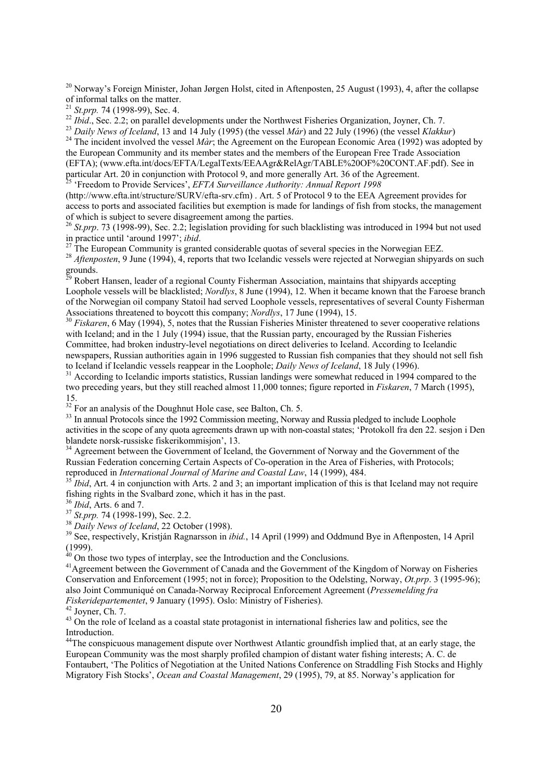<sup>20</sup> Norway's Foreign Minister, Johan Jørgen Holst, cited in Aftenposten, 25 August (1993), 4, after the collapse of informal talks on the matter.<br> $^{21}$  *St.prp.* 74 (1998-99), Sec. 4.

<sup>22</sup> Ibid., Sec. 2.2; on parallel developments under the Northwest Fisheries Organization, Joyner, Ch. 7.<br><sup>23</sup> Daily News of Iceland, 13 and 14 July (1995) (the vessel *Már*) and 22 July (1996) (the vessel *Klakkur*)<br><sup>24</sup> the European Community and its member states and the members of the European Free Trade Association (EFTA); (www.efta.int/docs/EFTA/LegalTexts/EEAAgr&RelAgr/TABLE%20OF%20CONT.AF.pdf). See in particular Art. 20 in conjunction with Protocol 9, and more generally Art. 36 of the Agreement. 25 'Freedom to Provide Services', *EFTA Surveillance Authority: Annual Report 1998*

(http://www.efta.int/structure/SURV/efta-srv.cfm) . Art. 5 of Protocol 9 to the EEA Agreement provides for access to ports and associated facilities but exemption is made for landings of fish from stocks, the management of which is subject to severe disagreement among the parties.

<sup>26</sup> *St.prp.* 73 (1998-99), Sec. 2.2; legislation providing for such blacklisting was introduced in 1994 but not used in practice until 'around 1997'; *ibid.* 

<sup>27</sup> The European Community is granted considerable quotas of several species in the Norwegian EEZ.<br><sup>28</sup> *Aftenposten*, 9 June (1994), 4, reports that two Icelandic vessels were rejected at Norwegian shipyards on such grounds.

<sup>29</sup> Robert Hansen, leader of a regional County Fisherman Association, maintains that shipyards accepting Loophole vessels will be blacklisted; *Nordlys*, 8 June (1994), 12. When it became known that the Faroese branch of the Norwegian oil company Statoil had served Loophole vessels, representatives of several County Fisherman Associations threatened to boycott this company; *Nordlys*, 17 June (1994), 15. <sup>30</sup> *Fiskaren*, 6 May (1994), 5, notes that the Russian Fisheries Minister threatened to sever cooperative relations

with Iceland; and in the 1 July (1994) issue, that the Russian party, encouraged by the Russian Fisheries Committee, had broken industry-level negotiations on direct deliveries to Iceland. According to Icelandic newspapers, Russian authorities again in 1996 suggested to Russian fish companies that they should not sell fish to Iceland if Icelandic vessels reappear in the Loophole; *Daily News of Iceland*, 18 July (1996).<br><sup>31</sup> According to Icelandic imports statistics, Russian landings were somewhat reduced in 1994 compared to the

two preceding years, but they still reached almost 11,000 tonnes; figure reported in *Fiskaren*, 7 March (1995),

15.<br><sup>32</sup> For an analysis of the Doughnut Hole case, see Balton, Ch. 5.

 $33$  In annual Protocols since the 1992 Commission meeting, Norway and Russia pledged to include Loophole activities in the scope of any quota agreements drawn up with non-coastal states; 'Protokoll fra den 22. sesjon i Den blandete norsk-russiske fiskerikommisjon', 13.<br><sup>34</sup> Agreement between the Government of Iceland, the Government of Norway and the Government of the

Russian Federation concerning Certain Aspects of Co-operation in the Area of Fisheries, with Protocols; reproduced in *International Journal of Marine and Coastal Law*, 14 (1999), 484. <sup>35</sup> *Ibid*, Art. 4 in conjunction with Arts. 2 and 3; an important implication of this is that Iceland may not require

fishing rights in the Svalbard zone, which it has in the past. <sup>36</sup> *Ibid*, Arts. 6 and 7.

<sup>37</sup> St.prp. 74 (1998-199), Sec. 2.2.<br><sup>38</sup> Daily News of Iceland, 22 October (1998).<br><sup>39</sup> See, respectively, Kristián Ragnarsson in *ibid.*, 14 April (1999) and Oddmund Bye in Aftenposten, 14 April  $(1999)$ .

 $40$  On those two types of interplay, see the Introduction and the Conclusions.

<sup>41</sup> Agreement between the Government of Canada and the Government of the Kingdom of Norway on Fisheries Conservation and Enforcement (1995; not in force); Proposition to the Odelsting, Norway, *Ot.prp*. 3 (1995-96); also Joint Communiqué on Canada-Norway Reciprocal Enforcement Agreement (*Pressemelding fra Fiskeridepartementet*, 9 January (1995). Oslo: Ministry of Fisheries). 42 Joyner, Ch. 7.

<sup>43</sup> On the role of Iceland as a coastal state protagonist in international fisheries law and politics, see the Introduction.

<sup>44</sup>The conspicuous management dispute over Northwest Atlantic groundfish implied that, at an early stage, the European Community was the most sharply profiled champion of distant water fishing interests; A. C. de Fontaubert, 'The Politics of Negotiation at the United Nations Conference on Straddling Fish Stocks and Highly Migratory Fish Stocks', *Ocean and Coastal Management*, 29 (1995), 79, at 85. Norway's application for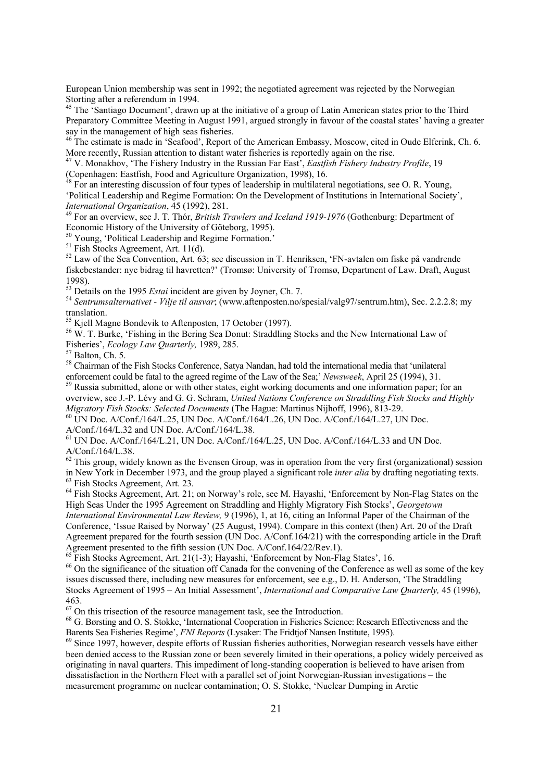European Union membership was sent in 1992; the negotiated agreement was rejected by the Norwegian Storting after a referendum in 1994.

<sup>45</sup> The 'Santiago Document', drawn up at the initiative of a group of Latin American states prior to the Third Preparatory Committee Meeting in August 1991, argued strongly in favour of the coastal states' having a greater say in the management of high seas fisheries.

<sup>46</sup> The estimate is made in 'Seafood', Report of the American Embassy, Moscow, cited in Oude Elferink, Ch. 6. More recently, Russian attention to distant water fisheries is reportedly again on the rise.<br><sup>47</sup> V. Monakhov, 'The Fishery Industry in the Russian Far East', *Eastfish Fishery Industry Profile*, 19

(Copenhagen: Eastfish, Food and Agriculture Organization, 1998), 16.

 $48$  For an interesting discussion of four types of leadership in multilateral negotiations, see O. R. Young, 'Political Leadership and Regime Formation: On the Development of Institutions in International Society',

*International Organization*, 45 (1992), 281.<br><sup>49</sup> For an overview, see J. T. Thór, *British Trawlers and Iceland 1919-1976* (Gothenburg: Department of Economic History of the University of Göteborg, 1995).

<sup>50</sup> Young, 'Political Leadership and Regime Formation.'

 $51$  Fish Stocks Agreement, Art. 11(d).

 $52$  Law of the Sea Convention, Art. 63; see discussion in T. Henriksen, 'FN-avtalen om fiske på vandrende fiskebestander: nye bidrag til havretten?' (Tromsø: University of Tromsø, Department of Law. Draft, August 1998).<br><sup>53</sup> Details on the 1995 *Estai* incident are given by Joyner, Ch. 7.

<sup>54</sup> Sentrumsalternativet - Vilje til ansvar; (www.aftenposten.no/spesial/valg97/sentrum.htm), Sec. 2.2.2.8; my translation.

<sup>55</sup> Kiell Magne Bondevik to Aftenposten, 17 October (1997).

56 W. T. Burke, 'Fishing in the Bering Sea Donut: Straddling Stocks and the New International Law of Fisheries', *Ecology Law Quarterly*, 1989, 285.<br><sup>57</sup> Balton, Ch. 5.

<sup>58</sup> Chairman of the Fish Stocks Conference, Satya Nandan, had told the international media that 'unilateral enforcement could be fatal to the agreed regime of the Law of the Sea;' Newsweek, April 25 (1994), 31.

<sup>59</sup> Russia submitted, alone or with other states, eight working documents and one information paper; for an overview, see J.-P. Lévy and G. G. Schram, *United Nations Conference on Straddling Fish Stocks and Highly Migratory Fish Stocks: Selected Documents* (The Hague: Martinus Nijhoff, 1996), 813-29.<br><sup>60</sup> UN Doc. A/Conf./164/L.25, UN Doc. A/Conf./164/L.26, UN Doc. A/Conf./164/L.27, UN Doc.

A/Conf./164/L.32 and UN Doc. A/Conf./164/L.38.

61 UN Doc. A/Conf./164/L.21, UN Doc. A/Conf./164/L.25, UN Doc. A/Conf./164/L.33 and UN Doc. A/Conf./164/L.38.

 $62$  This group, widely known as the Evensen Group, was in operation from the very first (organizational) session in New York in December 1973, and the group played a significant role *inter alia* by drafting negotiating texts. 63 Fish Stocks Agreement, Art. 23.

<sup>64</sup> Fish Stocks Agreement, Art. 21; on Norway's role, see M. Hayashi, 'Enforcement by Non-Flag States on the High Seas Under the 1995 Agreement on Straddling and Highly Migratory Fish Stocks', *Georgetown International Environmental Law Review,* 9 (1996), 1, at 16, citing an Informal Paper of the Chairman of the Conference, 'Issue Raised by Norway' (25 August, 1994). Compare in this context (then) Art. 20 of the Draft Agreement prepared for the fourth session (UN Doc. A/Conf.164/21) with the corresponding article in the Draft Agreement presented to the fifth session (UN Doc. A/Conf.164/22/Rev.1).<br><sup>65</sup> Fish Stocks Agreement, Art. 21(1-3); Hayashi, 'Enforcement by Non-Flag States', 16.

 $66$  On the significance of the situation off Canada for the convening of the Conference as well as some of the key issues discussed there, including new measures for enforcement, see e.g., D. H. Anderson, 'The Straddling Stocks Agreement of 1995 – An Initial Assessment', *International and Comparative Law Quarterly,* 45 (1996), 463.

 $67$  On this trisection of the resource management task, see the Introduction.

<sup>68</sup> G. Børsting and O. S. Stokke, 'International Cooperation in Fisheries Science: Research Effectiveness and the Barents Sea Fisheries Regime', *FNI Reports* (Lysaker: The Fridtjof Nansen Institute, 1995).<br><sup>69</sup> Since 1997, however, despite efforts of Russian fisheries authorities, Norwegian research vessels have either

been denied access to the Russian zone or been severely limited in their operations, a policy widely perceived as originating in naval quarters. This impediment of long-standing cooperation is believed to have arisen from dissatisfaction in the Northern Fleet with a parallel set of joint Norwegian-Russian investigations – the measurement programme on nuclear contamination; O. S. Stokke, 'Nuclear Dumping in Arctic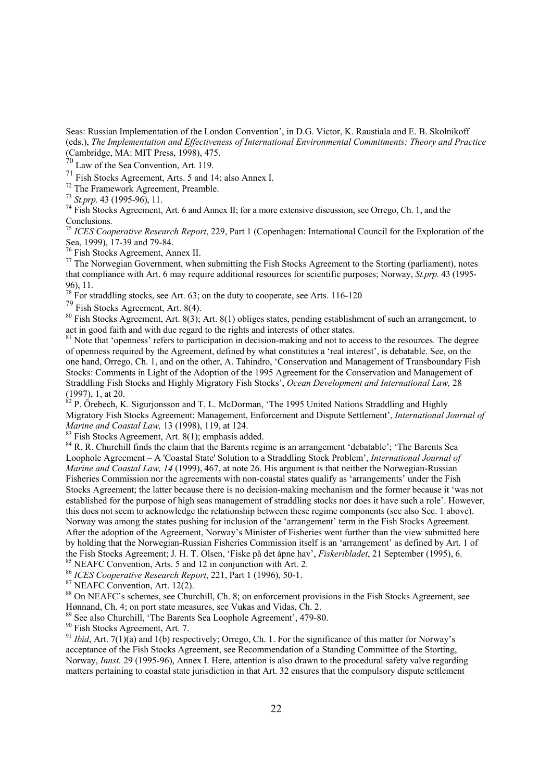Seas: Russian Implementation of the London Convention', in D.G. Victor, K. Raustiala and E. B. Skolnikoff (eds.), *The Implementation and Effectiveness of International Environmental Commitments: Theory and Practice* Cambridge, MA: MIT Press, 1998), 475.

Law of the Sea Convention, Art. 119.

<sup>71</sup> Fish Stocks Agreement, Arts. 5 and 14; also Annex I.<br><sup>72</sup> The Framework Agreement, Preamble.

<sup>73</sup> *St.prp.* 43 (1995-96), 11.  $\frac{73}{4}$  Fish Stocks Agreement, Art. 6 and Annex II; for a more extensive discussion, see Orrego, Ch. 1, and the Conclusions.

<sup>75</sup> *ICES Cooperative Research Report*, 229, Part 1 (Copenhagen: International Council for the Exploration of the Sea, 1999), 17-39 and 79-84.

 $76$  Fish Stocks Agreement, Annex II.

<sup>77</sup> The Norwegian Government, when submitting the Fish Stocks Agreement to the Storting (parliament), notes that compliance with Art. 6 may require additional resources for scientific purposes; Norway, *St.prp.* 43 (1995- 96), 11.

 $78$  For straddling stocks, see Art. 63; on the duty to cooperate, see Arts. 116-120

79 Fish Stocks Agreement, Art. 8(4).

 $80$  Fish Stocks Agreement, Art.  $8(3)$ ; Art.  $8(1)$  obliges states, pending establishment of such an arrangement, to act in good faith and with due regard to the rights and interests of other states.

 $81$  Note that 'openness' refers to participation in decision-making and not to access to the resources. The degree of openness required by the Agreement, defined by what constitutes a 'real interest', is debatable. See, on the one hand, Orrego, Ch. 1, and on the other, A. Tahindro, 'Conservation and Management of Transboundary Fish Stocks: Comments in Light of the Adoption of the 1995 Agreement for the Conservation and Management of Straddling Fish Stocks and Highly Migratory Fish Stocks', *Ocean Development and International Law,* 28 (1997), 1, at 20.

 $82$  P. Örebech, K. Sigurjonsson and T. L. McDorman, 'The 1995 United Nations Straddling and Highly Migratory Fish Stocks Agreement: Management, Enforcement and Dispute Settlement', *International Journal of Marine and Coastal Law,* 13 (1998), 119, at 124.<br><sup>83</sup> Fish Stocks Agreement, Art. 8(1); emphasis added.

<sup>84</sup> R. R. Churchill finds the claim that the Barents regime is an arrangement 'debatable'; 'The Barents Sea Loophole Agreement – A 'Coastal State' Solution to a Straddling Stock Problem', *International Journal of Marine and Coastal Law, 14* (1999), 467, at note 26. His argument is that neither the Norwegian-Russian Fisheries Commission nor the agreements with non-coastal states qualify as 'arrangements' under the Fish Stocks Agreement; the latter because there is no decision-making mechanism and the former because it 'was not established for the purpose of high seas management of straddling stocks nor does it have such a role'. However, this does not seem to acknowledge the relationship between these regime components (see also Sec. 1 above). Norway was among the states pushing for inclusion of the 'arrangement' term in the Fish Stocks Agreement. After the adoption of the Agreement, Norway's Minister of Fisheries went further than the view submitted here by holding that the Norwegian-Russian Fisheries Commission itself is an 'arrangement' as defined by Art. 1 of the Fish Stocks Agreement; J. H. T. Olsen, 'Fiske på det åpne hav', *Fiskeribladet*, 21 September (1995), 6. 85 NEAFC Convention, Arts. 5 and 12 in conjunction with Art. 2.

<sup>86</sup> *ICES Cooperative Research Report*, 221, Part 1 (1996), 50-1.<br><sup>87</sup> NEAFC Convention, Art. 12(2).

88 On NEAFC's schemes, see Churchill, Ch. 8; on enforcement provisions in the Fish Stocks Agreement, see Hønnand, Ch. 4; on port state measures, see Vukas and Vidas, Ch. 2.<br><sup>89</sup> See also Churchill, 'The Barents Sea Loophole Agreement', 479-80.<br><sup>90</sup> Fish Stocks Agreement, Art. 7.

<sup>91</sup> *Ibid*, Art. 7(1)(a) and 1(b) respectively; Orrego, Ch. 1. For the significance of this matter for Norway's acceptance of the Fish Stocks Agreement, see Recommendation of a Standing Committee of the Storting, Norway, *Innst.* 29 (1995-96), Annex I. Here, attention is also drawn to the procedural safety valve regarding matters pertaining to coastal state jurisdiction in that Art. 32 ensures that the compulsory dispute settlement